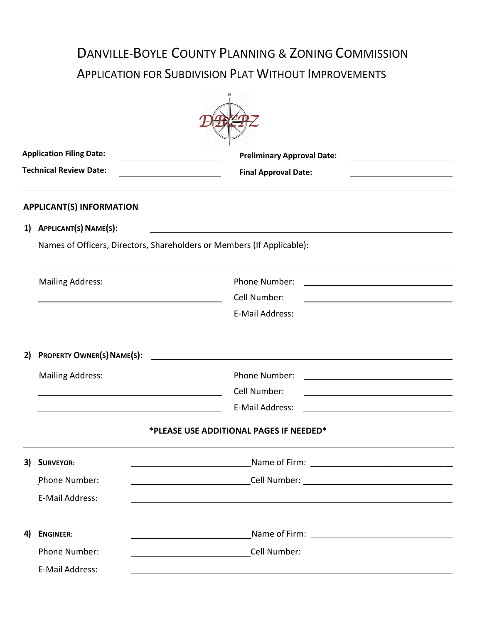# DANVILLE-BOYLE COUNTY PLANNING & ZONING COMMISSION APPLICATION FOR SUBDIVISION PLAT WITHOUT IMPROVEMENTS

|    | <b>Application Filing Date:</b>                           | <b>Preliminary Approval Date:</b>                                                                                                     |  |  |  |  |
|----|-----------------------------------------------------------|---------------------------------------------------------------------------------------------------------------------------------------|--|--|--|--|
|    | <b>Technical Review Date:</b>                             | <b>Final Approval Date:</b>                                                                                                           |  |  |  |  |
|    | <b>APPLICANT(S) INFORMATION</b>                           |                                                                                                                                       |  |  |  |  |
|    | 1) APPLICANT(S) NAME(S):                                  |                                                                                                                                       |  |  |  |  |
|    |                                                           | Names of Officers, Directors, Shareholders or Members (If Applicable):                                                                |  |  |  |  |
|    | <b>Mailing Address:</b>                                   | Phone Number:<br><u> 1980 - Johann Barbara, martin amerikan basar dan basar dan basar dalam basar dalam basar dalam basar dalam b</u> |  |  |  |  |
|    |                                                           | Cell Number:<br><u> 1989 - Johann Barbara, martin amerikan basar dan basa dan basar dalam basa dalam basa dalam basa dalam basa </u>  |  |  |  |  |
|    | <u> 1989 - Johann Barnett, fransk politiker (d. 1989)</u> | E-Mail Address:                                                                                                                       |  |  |  |  |
| 2) |                                                           |                                                                                                                                       |  |  |  |  |
|    | <b>Mailing Address:</b>                                   | Phone Number:                                                                                                                         |  |  |  |  |
|    | <u> 1989 - Johann Stein, fransk politik (f. 1989)</u>     | Cell Number:                                                                                                                          |  |  |  |  |
|    |                                                           | E-Mail Address:                                                                                                                       |  |  |  |  |
|    |                                                           | *PLEASE USE ADDITIONAL PAGES IF NEEDED*                                                                                               |  |  |  |  |
| 3) | <b>SURVEYOR:</b>                                          |                                                                                                                                       |  |  |  |  |
|    | Phone Number:                                             |                                                                                                                                       |  |  |  |  |
|    | E-Mail Address:                                           |                                                                                                                                       |  |  |  |  |
| 4) | <b>ENGINEER:</b>                                          |                                                                                                                                       |  |  |  |  |
|    | Phone Number:                                             |                                                                                                                                       |  |  |  |  |
|    | E-Mail Address:                                           |                                                                                                                                       |  |  |  |  |
|    |                                                           |                                                                                                                                       |  |  |  |  |